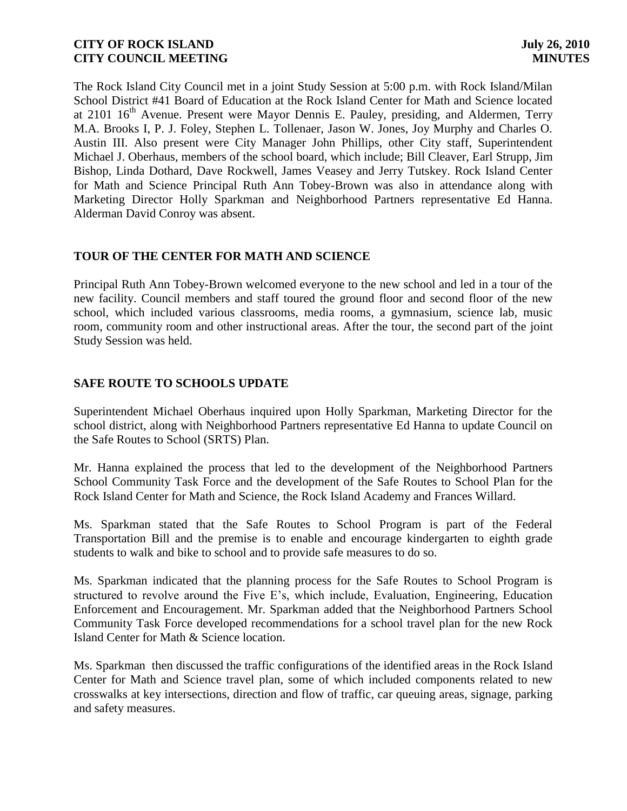The Rock Island City Council met in a joint Study Session at 5:00 p.m. with Rock Island/Milan School District #41 Board of Education at the Rock Island Center for Math and Science located at  $2101 \; 16^{th}$  Avenue. Present were Mayor Dennis E. Pauley, presiding, and Aldermen, Terry M.A. Brooks I, P. J. Foley, Stephen L. Tollenaer, Jason W. Jones, Joy Murphy and Charles O. Austin III. Also present were City Manager John Phillips, other City staff, Superintendent Michael J. Oberhaus, members of the school board, which include; Bill Cleaver, Earl Strupp, Jim Bishop, Linda Dothard, Dave Rockwell, James Veasey and Jerry Tutskey. Rock Island Center for Math and Science Principal Ruth Ann Tobey-Brown was also in attendance along with Marketing Director Holly Sparkman and Neighborhood Partners representative Ed Hanna. Alderman David Conroy was absent.

# **TOUR OF THE CENTER FOR MATH AND SCIENCE**

Principal Ruth Ann Tobey-Brown welcomed everyone to the new school and led in a tour of the new facility. Council members and staff toured the ground floor and second floor of the new school, which included various classrooms, media rooms, a gymnasium, science lab, music room, community room and other instructional areas. After the tour, the second part of the joint Study Session was held.

# **SAFE ROUTE TO SCHOOLS UPDATE**

Superintendent Michael Oberhaus inquired upon Holly Sparkman, Marketing Director for the school district, along with Neighborhood Partners representative Ed Hanna to update Council on the Safe Routes to School (SRTS) Plan.

Mr. Hanna explained the process that led to the development of the Neighborhood Partners School Community Task Force and the development of the Safe Routes to School Plan for the Rock Island Center for Math and Science, the Rock Island Academy and Frances Willard.

Ms. Sparkman stated that the Safe Routes to School Program is part of the Federal Transportation Bill and the premise is to enable and encourage kindergarten to eighth grade students to walk and bike to school and to provide safe measures to do so.

Ms. Sparkman indicated that the planning process for the Safe Routes to School Program is structured to revolve around the Five E's, which include, Evaluation, Engineering, Education Enforcement and Encouragement. Mr. Sparkman added that the Neighborhood Partners School Community Task Force developed recommendations for a school travel plan for the new Rock Island Center for Math & Science location.

Ms. Sparkman then discussed the traffic configurations of the identified areas in the Rock Island Center for Math and Science travel plan, some of which included components related to new crosswalks at key intersections, direction and flow of traffic, car queuing areas, signage, parking and safety measures.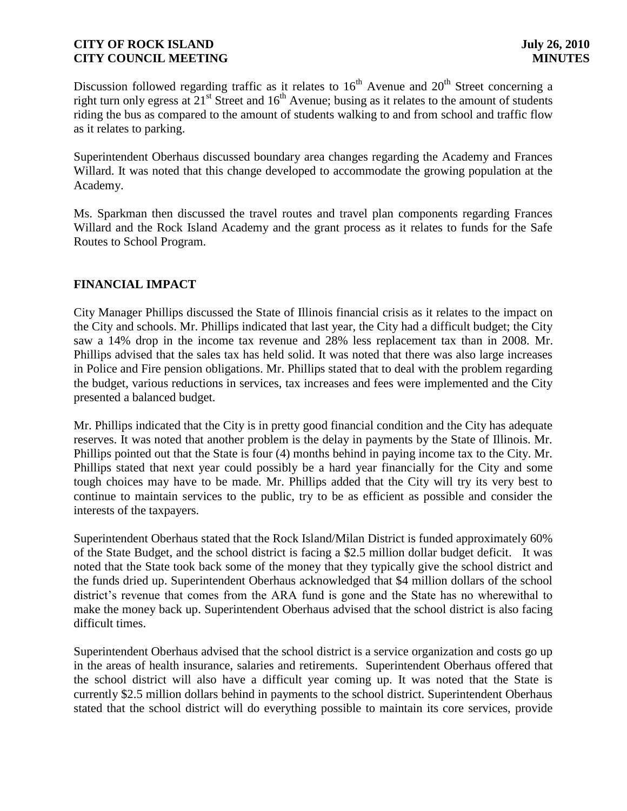Discussion followed regarding traffic as it relates to  $16<sup>th</sup>$  Avenue and  $20<sup>th</sup>$  Street concerning a right turn only egress at  $21<sup>st</sup>$  Street and  $16<sup>th</sup>$  Avenue; busing as it relates to the amount of students riding the bus as compared to the amount of students walking to and from school and traffic flow as it relates to parking.

Superintendent Oberhaus discussed boundary area changes regarding the Academy and Frances Willard. It was noted that this change developed to accommodate the growing population at the Academy.

Ms. Sparkman then discussed the travel routes and travel plan components regarding Frances Willard and the Rock Island Academy and the grant process as it relates to funds for the Safe Routes to School Program.

# **FINANCIAL IMPACT**

City Manager Phillips discussed the State of Illinois financial crisis as it relates to the impact on the City and schools. Mr. Phillips indicated that last year, the City had a difficult budget; the City saw a 14% drop in the income tax revenue and 28% less replacement tax than in 2008. Mr. Phillips advised that the sales tax has held solid. It was noted that there was also large increases in Police and Fire pension obligations. Mr. Phillips stated that to deal with the problem regarding the budget, various reductions in services, tax increases and fees were implemented and the City presented a balanced budget.

Mr. Phillips indicated that the City is in pretty good financial condition and the City has adequate reserves. It was noted that another problem is the delay in payments by the State of Illinois. Mr. Phillips pointed out that the State is four (4) months behind in paying income tax to the City. Mr. Phillips stated that next year could possibly be a hard year financially for the City and some tough choices may have to be made. Mr. Phillips added that the City will try its very best to continue to maintain services to the public, try to be as efficient as possible and consider the interests of the taxpayers.

Superintendent Oberhaus stated that the Rock Island/Milan District is funded approximately 60% of the State Budget, and the school district is facing a \$2.5 million dollar budget deficit. It was noted that the State took back some of the money that they typically give the school district and the funds dried up. Superintendent Oberhaus acknowledged that \$4 million dollars of the school district's revenue that comes from the ARA fund is gone and the State has no wherewithal to make the money back up. Superintendent Oberhaus advised that the school district is also facing difficult times.

Superintendent Oberhaus advised that the school district is a service organization and costs go up in the areas of health insurance, salaries and retirements. Superintendent Oberhaus offered that the school district will also have a difficult year coming up. It was noted that the State is currently \$2.5 million dollars behind in payments to the school district. Superintendent Oberhaus stated that the school district will do everything possible to maintain its core services, provide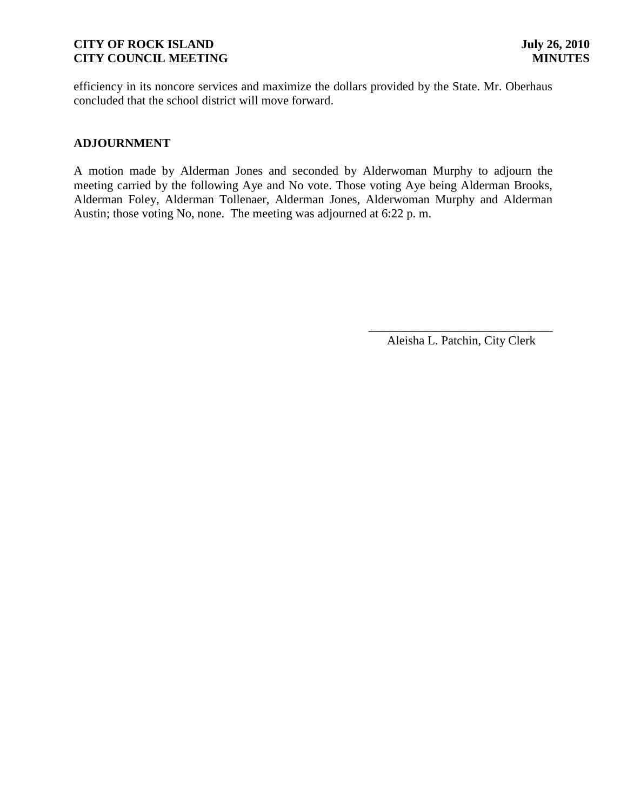efficiency in its noncore services and maximize the dollars provided by the State. Mr. Oberhaus concluded that the school district will move forward.

#### **ADJOURNMENT**

A motion made by Alderman Jones and seconded by Alderwoman Murphy to adjourn the meeting carried by the following Aye and No vote. Those voting Aye being Alderman Brooks, Alderman Foley, Alderman Tollenaer, Alderman Jones, Alderwoman Murphy and Alderman Austin; those voting No, none. The meeting was adjourned at 6:22 p. m.

> \_\_\_\_\_\_\_\_\_\_\_\_\_\_\_\_\_\_\_\_\_\_\_\_\_\_\_\_\_\_ Aleisha L. Patchin, City Clerk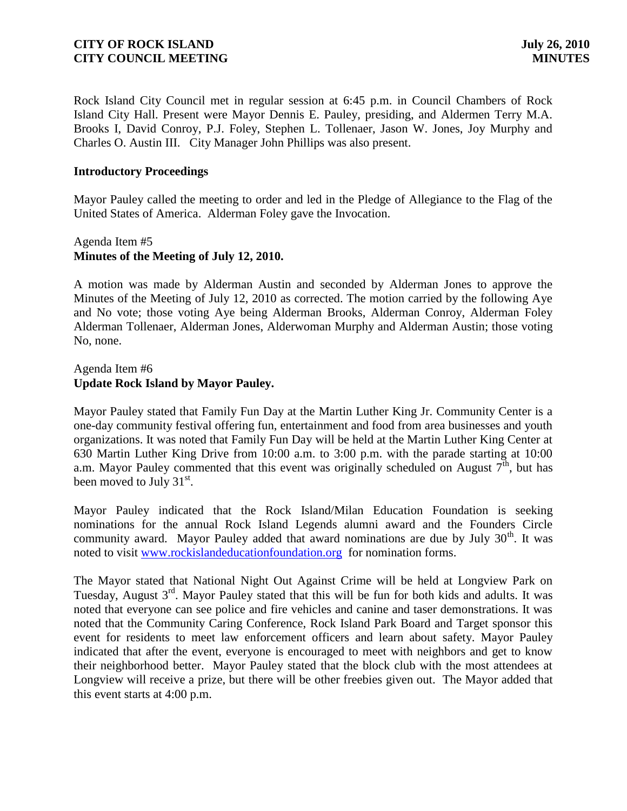Rock Island City Council met in regular session at 6:45 p.m. in Council Chambers of Rock Island City Hall. Present were Mayor Dennis E. Pauley, presiding, and Aldermen Terry M.A. Brooks I, David Conroy, P.J. Foley, Stephen L. Tollenaer, Jason W. Jones, Joy Murphy and Charles O. Austin III. City Manager John Phillips was also present.

#### **Introductory Proceedings**

Mayor Pauley called the meeting to order and led in the Pledge of Allegiance to the Flag of the United States of America. Alderman Foley gave the Invocation.

# Agenda Item #5 **Minutes of the Meeting of July 12, 2010.**

A motion was made by Alderman Austin and seconded by Alderman Jones to approve the Minutes of the Meeting of July 12, 2010 as corrected. The motion carried by the following Aye and No vote; those voting Aye being Alderman Brooks, Alderman Conroy, Alderman Foley Alderman Tollenaer, Alderman Jones, Alderwoman Murphy and Alderman Austin; those voting No, none.

#### Agenda Item #6 **Update Rock Island by Mayor Pauley.**

Mayor Pauley stated that Family Fun Day at the Martin Luther King Jr. Community Center is a one-day community festival offering fun, entertainment and food from area businesses and youth organizations. It was noted that Family Fun Day will be held at the Martin Luther King Center at 630 Martin Luther King Drive from 10:00 a.m. to 3:00 p.m. with the parade starting at 10:00 a.m. Mayor Pauley commented that this event was originally scheduled on August  $7<sup>th</sup>$ , but has been moved to July  $31<sup>st</sup>$ .

Mayor Pauley indicated that the Rock Island/Milan Education Foundation is seeking nominations for the annual Rock Island Legends alumni award and the Founders Circle community award. Mayor Pauley added that award nominations are due by July  $30<sup>th</sup>$ . It was noted to visit [www.rockislandeducationfoundation.org](http://www.rockislandeducationfoundation.org/) for nomination forms.

The Mayor stated that National Night Out Against Crime will be held at Longview Park on Tuesday, August 3<sup>rd</sup>. Mayor Pauley stated that this will be fun for both kids and adults. It was noted that everyone can see police and fire vehicles and canine and taser demonstrations. It was noted that the Community Caring Conference, Rock Island Park Board and Target sponsor this event for residents to meet law enforcement officers and learn about safety. Mayor Pauley indicated that after the event, everyone is encouraged to meet with neighbors and get to know their neighborhood better. Mayor Pauley stated that the block club with the most attendees at Longview will receive a prize, but there will be other freebies given out. The Mayor added that this event starts at 4:00 p.m.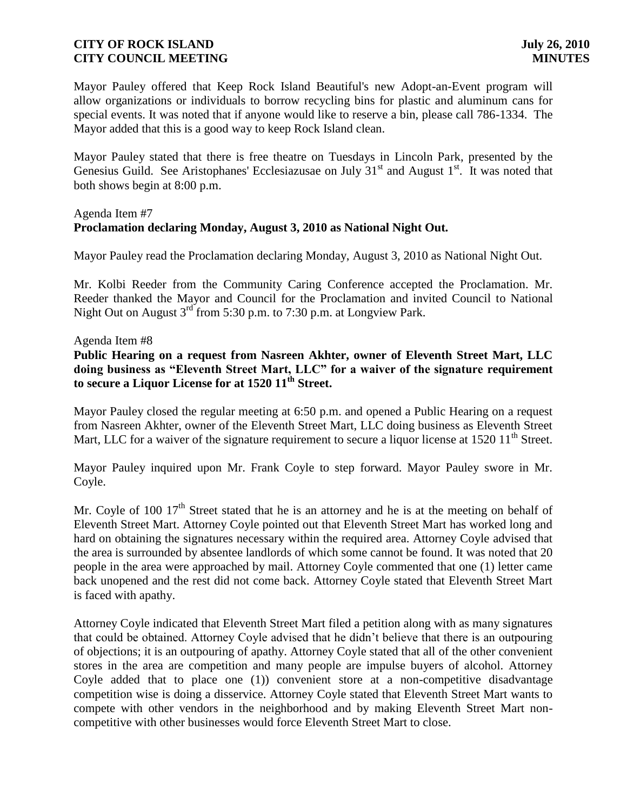Mayor Pauley offered that Keep Rock Island Beautiful's new Adopt-an-Event program will allow organizations or individuals to borrow recycling bins for plastic and aluminum cans for special events. It was noted that if anyone would like to reserve a bin, please call 786-1334. The Mayor added that this is a good way to keep Rock Island clean.

Mayor Pauley stated that there is free theatre on Tuesdays in Lincoln Park, presented by the Genesius Guild. See Aristophanes' Ecclesiazusae on July  $31<sup>st</sup>$  and August  $1<sup>st</sup>$ . It was noted that both shows begin at 8:00 p.m.

### Agenda Item #7 **Proclamation declaring Monday, August 3, 2010 as National Night Out.**

Mayor Pauley read the Proclamation declaring Monday, August 3, 2010 as National Night Out.

Mr. Kolbi Reeder from the Community Caring Conference accepted the Proclamation. Mr. Reeder thanked the Mayor and Council for the Proclamation and invited Council to National Night Out on August  $3^{rd}$  from 5:30 p.m. to 7:30 p.m. at Longview Park.

#### Agenda Item #8

**Public Hearing on a request from Nasreen Akhter, owner of Eleventh Street Mart, LLC doing business as "Eleventh Street Mart, LLC" for a waiver of the signature requirement to secure a Liquor License for at 1520 11th Street.** 

Mayor Pauley closed the regular meeting at 6:50 p.m. and opened a Public Hearing on a request from Nasreen Akhter, owner of the Eleventh Street Mart, LLC doing business as Eleventh Street Mart, LLC for a waiver of the signature requirement to secure a liquor license at  $1520 \, 11^{\text{th}}$  Street.

Mayor Pauley inquired upon Mr. Frank Coyle to step forward. Mayor Pauley swore in Mr. Coyle.

Mr. Coyle of 100 17<sup>th</sup> Street stated that he is an attorney and he is at the meeting on behalf of Eleventh Street Mart. Attorney Coyle pointed out that Eleventh Street Mart has worked long and hard on obtaining the signatures necessary within the required area. Attorney Coyle advised that the area is surrounded by absentee landlords of which some cannot be found. It was noted that 20 people in the area were approached by mail. Attorney Coyle commented that one (1) letter came back unopened and the rest did not come back. Attorney Coyle stated that Eleventh Street Mart is faced with apathy.

Attorney Coyle indicated that Eleventh Street Mart filed a petition along with as many signatures that could be obtained. Attorney Coyle advised that he didn't believe that there is an outpouring of objections; it is an outpouring of apathy. Attorney Coyle stated that all of the other convenient stores in the area are competition and many people are impulse buyers of alcohol. Attorney Coyle added that to place one (1)) convenient store at a non-competitive disadvantage competition wise is doing a disservice. Attorney Coyle stated that Eleventh Street Mart wants to compete with other vendors in the neighborhood and by making Eleventh Street Mart noncompetitive with other businesses would force Eleventh Street Mart to close.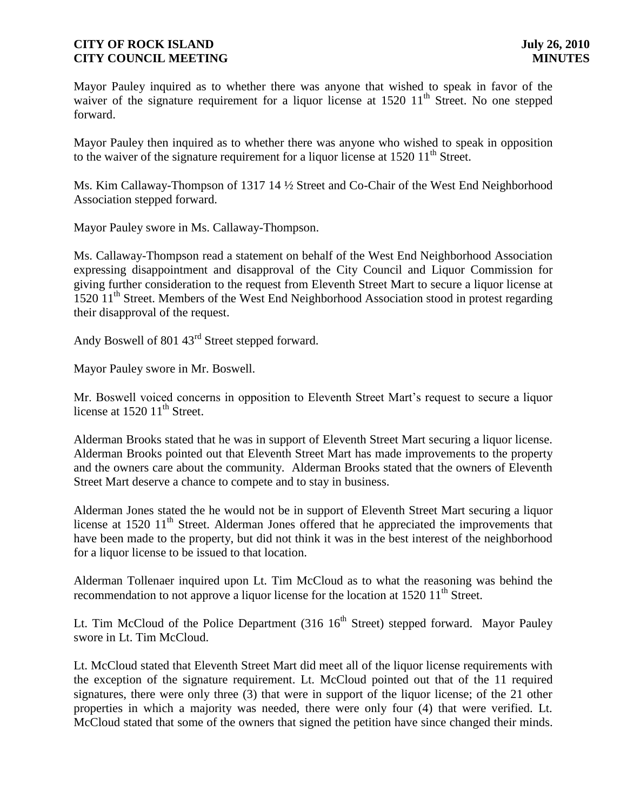Mayor Pauley inquired as to whether there was anyone that wished to speak in favor of the waiver of the signature requirement for a liquor license at  $1520 \, 11^{th}$  Street. No one stepped forward.

Mayor Pauley then inquired as to whether there was anyone who wished to speak in opposition to the waiver of the signature requirement for a liquor license at  $1520\ 11<sup>th</sup>$  Street.

Ms. Kim Callaway-Thompson of 1317 14 ½ Street and Co-Chair of the West End Neighborhood Association stepped forward.

Mayor Pauley swore in Ms. Callaway-Thompson.

Ms. Callaway-Thompson read a statement on behalf of the West End Neighborhood Association expressing disappointment and disapproval of the City Council and Liquor Commission for giving further consideration to the request from Eleventh Street Mart to secure a liquor license at 1520 11<sup>th</sup> Street. Members of the West End Neighborhood Association stood in protest regarding their disapproval of the request.

Andy Boswell of 801 43rd Street stepped forward.

Mayor Pauley swore in Mr. Boswell.

Mr. Boswell voiced concerns in opposition to Eleventh Street Mart's request to secure a liquor license at  $1520$   $11<sup>th</sup>$  Street.

Alderman Brooks stated that he was in support of Eleventh Street Mart securing a liquor license. Alderman Brooks pointed out that Eleventh Street Mart has made improvements to the property and the owners care about the community. Alderman Brooks stated that the owners of Eleventh Street Mart deserve a chance to compete and to stay in business.

Alderman Jones stated the he would not be in support of Eleventh Street Mart securing a liquor license at  $1520 \ 11<sup>th</sup>$  Street. Alderman Jones offered that he appreciated the improvements that have been made to the property, but did not think it was in the best interest of the neighborhood for a liquor license to be issued to that location.

Alderman Tollenaer inquired upon Lt. Tim McCloud as to what the reasoning was behind the recommendation to not approve a liquor license for the location at  $1520 \, 11^{\text{th}}$  Street.

Lt. Tim McCloud of the Police Department  $(316 \; 16^{th}$  Street) stepped forward. Mayor Pauley swore in Lt. Tim McCloud.

Lt. McCloud stated that Eleventh Street Mart did meet all of the liquor license requirements with the exception of the signature requirement. Lt. McCloud pointed out that of the 11 required signatures, there were only three (3) that were in support of the liquor license; of the 21 other properties in which a majority was needed, there were only four (4) that were verified. Lt. McCloud stated that some of the owners that signed the petition have since changed their minds.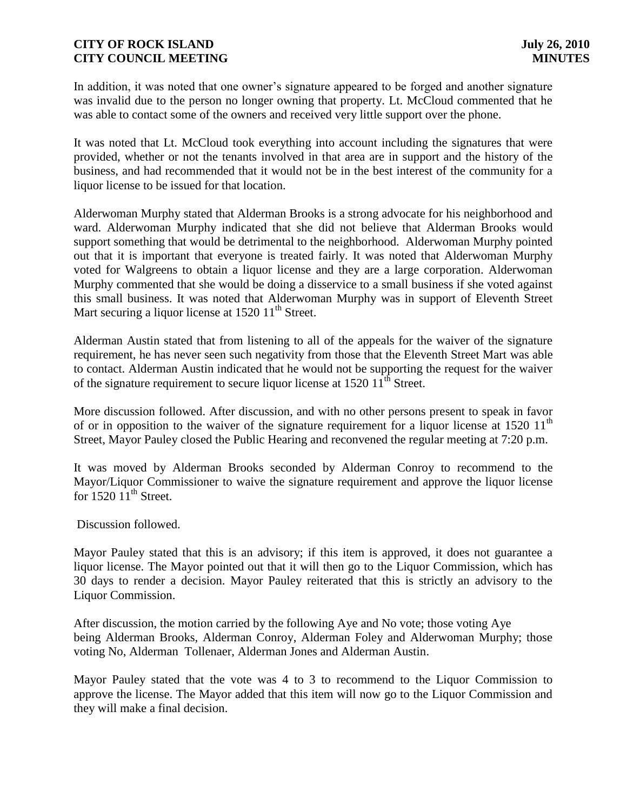In addition, it was noted that one owner's signature appeared to be forged and another signature was invalid due to the person no longer owning that property. Lt. McCloud commented that he was able to contact some of the owners and received very little support over the phone.

It was noted that Lt. McCloud took everything into account including the signatures that were provided, whether or not the tenants involved in that area are in support and the history of the business, and had recommended that it would not be in the best interest of the community for a liquor license to be issued for that location.

Alderwoman Murphy stated that Alderman Brooks is a strong advocate for his neighborhood and ward. Alderwoman Murphy indicated that she did not believe that Alderman Brooks would support something that would be detrimental to the neighborhood. Alderwoman Murphy pointed out that it is important that everyone is treated fairly. It was noted that Alderwoman Murphy voted for Walgreens to obtain a liquor license and they are a large corporation. Alderwoman Murphy commented that she would be doing a disservice to a small business if she voted against this small business. It was noted that Alderwoman Murphy was in support of Eleventh Street Mart securing a liquor license at  $152011<sup>th</sup>$  Street.

Alderman Austin stated that from listening to all of the appeals for the waiver of the signature requirement, he has never seen such negativity from those that the Eleventh Street Mart was able to contact. Alderman Austin indicated that he would not be supporting the request for the waiver of the signature requirement to secure liquor license at  $1520 \, 11^{\text{th}}$  Street.

More discussion followed. After discussion, and with no other persons present to speak in favor of or in opposition to the waiver of the signature requirement for a liquor license at  $1520 \; 11^{\text{th}}$ Street, Mayor Pauley closed the Public Hearing and reconvened the regular meeting at 7:20 p.m.

It was moved by Alderman Brooks seconded by Alderman Conroy to recommend to the Mayor/Liquor Commissioner to waive the signature requirement and approve the liquor license for  $1520 11<sup>th</sup>$  Street.

Discussion followed.

Mayor Pauley stated that this is an advisory; if this item is approved, it does not guarantee a liquor license. The Mayor pointed out that it will then go to the Liquor Commission, which has 30 days to render a decision. Mayor Pauley reiterated that this is strictly an advisory to the Liquor Commission.

After discussion, the motion carried by the following Aye and No vote; those voting Aye being Alderman Brooks, Alderman Conroy, Alderman Foley and Alderwoman Murphy; those voting No, Alderman Tollenaer, Alderman Jones and Alderman Austin.

Mayor Pauley stated that the vote was 4 to 3 to recommend to the Liquor Commission to approve the license. The Mayor added that this item will now go to the Liquor Commission and they will make a final decision.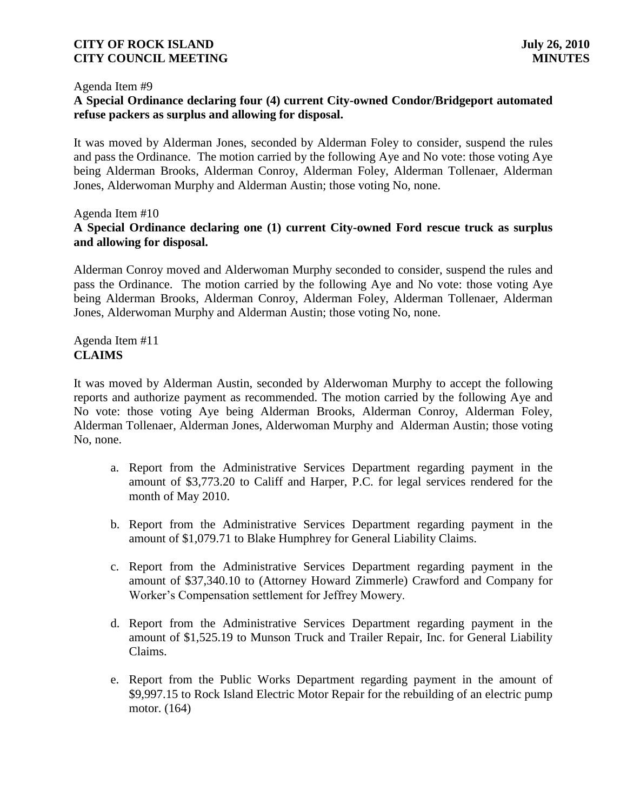#### Agenda Item #9

## **A Special Ordinance declaring four (4) current City-owned Condor/Bridgeport automated refuse packers as surplus and allowing for disposal.**

It was moved by Alderman Jones, seconded by Alderman Foley to consider, suspend the rules and pass the Ordinance. The motion carried by the following Aye and No vote: those voting Aye being Alderman Brooks, Alderman Conroy, Alderman Foley, Alderman Tollenaer, Alderman Jones, Alderwoman Murphy and Alderman Austin; those voting No, none.

#### Agenda Item #10 **A Special Ordinance declaring one (1) current City-owned Ford rescue truck as surplus and allowing for disposal.**

Alderman Conroy moved and Alderwoman Murphy seconded to consider, suspend the rules and pass the Ordinance. The motion carried by the following Aye and No vote: those voting Aye being Alderman Brooks, Alderman Conroy, Alderman Foley, Alderman Tollenaer, Alderman Jones, Alderwoman Murphy and Alderman Austin; those voting No, none.

Agenda Item #11 **CLAIMS**

It was moved by Alderman Austin, seconded by Alderwoman Murphy to accept the following reports and authorize payment as recommended. The motion carried by the following Aye and No vote: those voting Aye being Alderman Brooks, Alderman Conroy, Alderman Foley, Alderman Tollenaer, Alderman Jones, Alderwoman Murphy and Alderman Austin; those voting No, none.

- a. Report from the Administrative Services Department regarding payment in the amount of \$3,773.20 to Califf and Harper, P.C. for legal services rendered for the month of May 2010.
- b. Report from the Administrative Services Department regarding payment in the amount of \$1,079.71 to Blake Humphrey for General Liability Claims.
- c. Report from the Administrative Services Department regarding payment in the amount of \$37,340.10 to (Attorney Howard Zimmerle) Crawford and Company for Worker's Compensation settlement for Jeffrey Mowery.
- d. Report from the Administrative Services Department regarding payment in the amount of \$1,525.19 to Munson Truck and Trailer Repair, Inc. for General Liability Claims.
- e. Report from the Public Works Department regarding payment in the amount of \$9,997.15 to Rock Island Electric Motor Repair for the rebuilding of an electric pump motor. (164)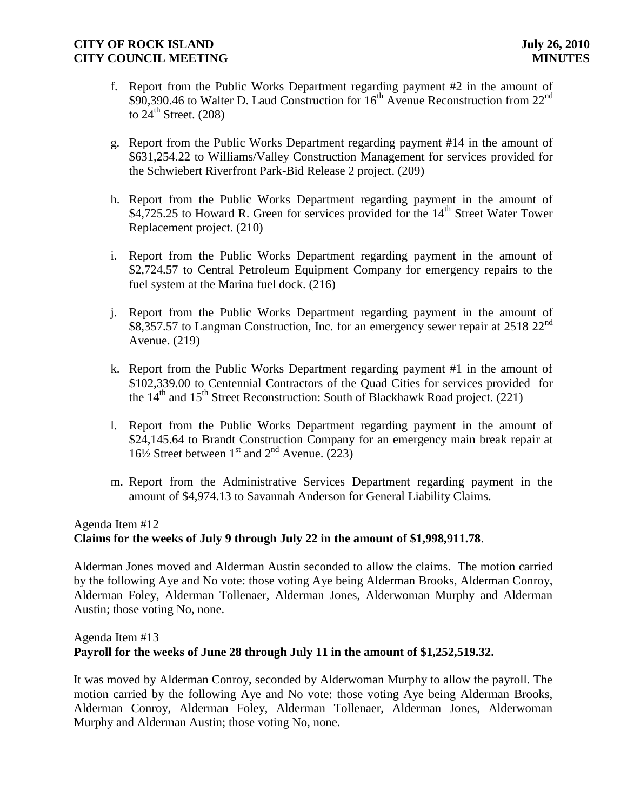- f. Report from the Public Works Department regarding payment #2 in the amount of  $$90,390.46$  to Walter D. Laud Construction for  $16<sup>th</sup>$  Avenue Reconstruction from  $22<sup>nd</sup>$ to  $24^{\text{th}}$  Street. (208)
- g. Report from the Public Works Department regarding payment #14 in the amount of \$631,254.22 to Williams/Valley Construction Management for services provided for the Schwiebert Riverfront Park-Bid Release 2 project. (209)
- h. Report from the Public Works Department regarding payment in the amount of \$4,725.25 to Howard R. Green for services provided for the 14<sup>th</sup> Street Water Tower Replacement project. (210)
- i. Report from the Public Works Department regarding payment in the amount of \$2,724.57 to Central Petroleum Equipment Company for emergency repairs to the fuel system at the Marina fuel dock. (216)
- j. Report from the Public Works Department regarding payment in the amount of \$8,357.57 to Langman Construction, Inc. for an emergency sewer repair at  $2518 22<sup>nd</sup>$ Avenue. (219)
- k. Report from the Public Works Department regarding payment #1 in the amount of \$102,339.00 to Centennial Contractors of the Quad Cities for services provided for the  $14<sup>th</sup>$  and  $15<sup>th</sup>$  Street Reconstruction: South of Blackhawk Road project. (221)
- l. Report from the Public Works Department regarding payment in the amount of \$24,145.64 to Brandt Construction Company for an emergency main break repair at 16½ Street between  $1<sup>st</sup>$  and  $2<sup>nd</sup>$  Avenue. (223)
- m. Report from the Administrative Services Department regarding payment in the amount of \$4,974.13 to Savannah Anderson for General Liability Claims.

#### Agenda Item #12 **Claims for the weeks of July 9 through July 22 in the amount of \$1,998,911.78**.

Alderman Jones moved and Alderman Austin seconded to allow the claims. The motion carried by the following Aye and No vote: those voting Aye being Alderman Brooks, Alderman Conroy, Alderman Foley, Alderman Tollenaer, Alderman Jones, Alderwoman Murphy and Alderman Austin; those voting No, none.

# Agenda Item #13 **Payroll for the weeks of June 28 through July 11 in the amount of \$1,252,519.32.**

It was moved by Alderman Conroy, seconded by Alderwoman Murphy to allow the payroll. The motion carried by the following Aye and No vote: those voting Aye being Alderman Brooks, Alderman Conroy, Alderman Foley, Alderman Tollenaer, Alderman Jones, Alderwoman Murphy and Alderman Austin; those voting No, none.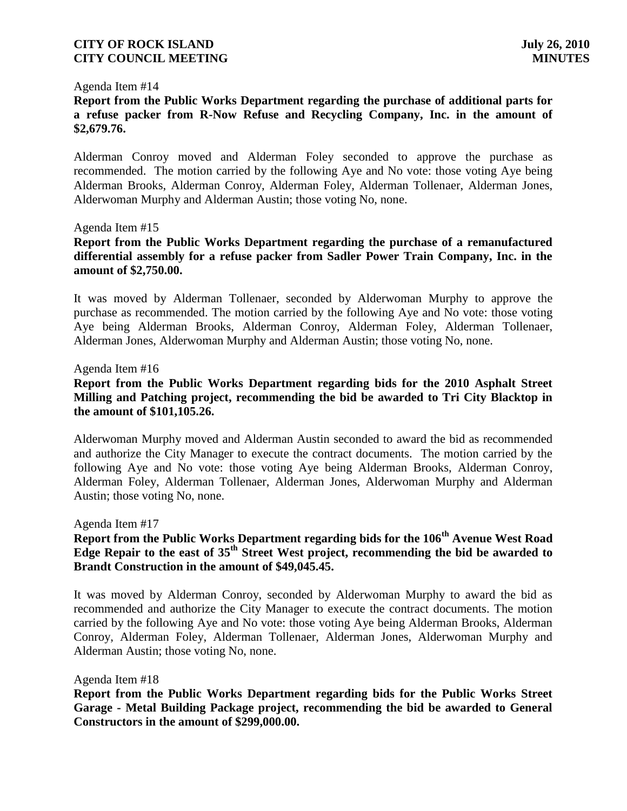#### Agenda Item #14

**Report from the Public Works Department regarding the purchase of additional parts for a refuse packer from R-Now Refuse and Recycling Company, Inc. in the amount of \$2,679.76.**

Alderman Conroy moved and Alderman Foley seconded to approve the purchase as recommended. The motion carried by the following Aye and No vote: those voting Aye being Alderman Brooks, Alderman Conroy, Alderman Foley, Alderman Tollenaer, Alderman Jones, Alderwoman Murphy and Alderman Austin; those voting No, none.

#### Agenda Item #15

**Report from the Public Works Department regarding the purchase of a remanufactured differential assembly for a refuse packer from Sadler Power Train Company, Inc. in the amount of \$2,750.00.**

It was moved by Alderman Tollenaer, seconded by Alderwoman Murphy to approve the purchase as recommended. The motion carried by the following Aye and No vote: those voting Aye being Alderman Brooks, Alderman Conroy, Alderman Foley, Alderman Tollenaer, Alderman Jones, Alderwoman Murphy and Alderman Austin; those voting No, none.

#### Agenda Item #16

### **Report from the Public Works Department regarding bids for the 2010 Asphalt Street Milling and Patching project, recommending the bid be awarded to Tri City Blacktop in the amount of \$101,105.26.**

Alderwoman Murphy moved and Alderman Austin seconded to award the bid as recommended and authorize the City Manager to execute the contract documents. The motion carried by the following Aye and No vote: those voting Aye being Alderman Brooks, Alderman Conroy, Alderman Foley, Alderman Tollenaer, Alderman Jones, Alderwoman Murphy and Alderman Austin; those voting No, none.

#### Agenda Item #17

# **Report from the Public Works Department regarding bids for the 106th Avenue West Road Edge Repair to the east of 35th Street West project, recommending the bid be awarded to Brandt Construction in the amount of \$49,045.45.**

It was moved by Alderman Conroy, seconded by Alderwoman Murphy to award the bid as recommended and authorize the City Manager to execute the contract documents. The motion carried by the following Aye and No vote: those voting Aye being Alderman Brooks, Alderman Conroy, Alderman Foley, Alderman Tollenaer, Alderman Jones, Alderwoman Murphy and Alderman Austin; those voting No, none.

#### Agenda Item #18

**Report from the Public Works Department regarding bids for the Public Works Street Garage - Metal Building Package project, recommending the bid be awarded to General Constructors in the amount of \$299,000.00.**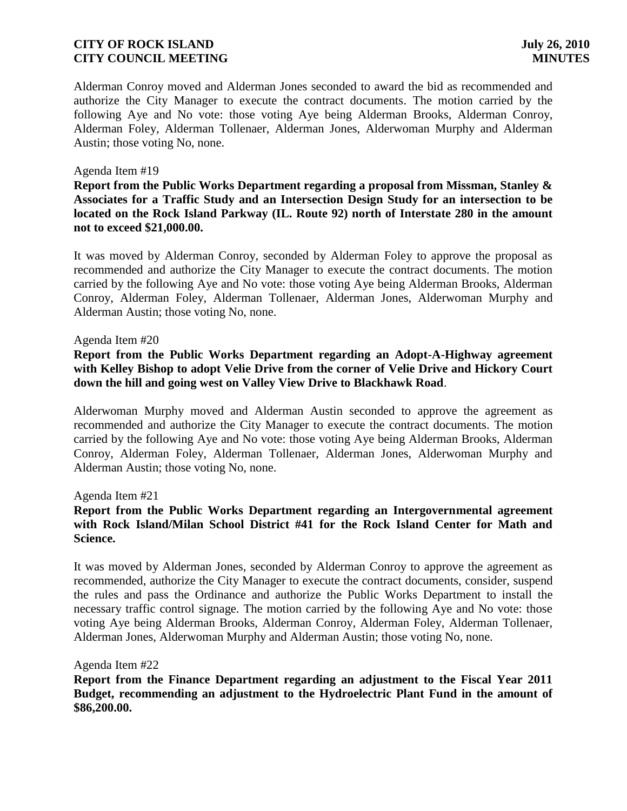Alderman Conroy moved and Alderman Jones seconded to award the bid as recommended and authorize the City Manager to execute the contract documents. The motion carried by the following Aye and No vote: those voting Aye being Alderman Brooks, Alderman Conroy, Alderman Foley, Alderman Tollenaer, Alderman Jones, Alderwoman Murphy and Alderman Austin; those voting No, none.

#### Agenda Item #19

**Report from the Public Works Department regarding a proposal from Missman, Stanley & Associates for a Traffic Study and an Intersection Design Study for an intersection to be located on the Rock Island Parkway (IL. Route 92) north of Interstate 280 in the amount not to exceed \$21,000.00.**

It was moved by Alderman Conroy, seconded by Alderman Foley to approve the proposal as recommended and authorize the City Manager to execute the contract documents. The motion carried by the following Aye and No vote: those voting Aye being Alderman Brooks, Alderman Conroy, Alderman Foley, Alderman Tollenaer, Alderman Jones, Alderwoman Murphy and Alderman Austin; those voting No, none.

#### Agenda Item #20

# **Report from the Public Works Department regarding an Adopt-A-Highway agreement with Kelley Bishop to adopt Velie Drive from the corner of Velie Drive and Hickory Court down the hill and going west on Valley View Drive to Blackhawk Road**.

Alderwoman Murphy moved and Alderman Austin seconded to approve the agreement as recommended and authorize the City Manager to execute the contract documents. The motion carried by the following Aye and No vote: those voting Aye being Alderman Brooks, Alderman Conroy, Alderman Foley, Alderman Tollenaer, Alderman Jones, Alderwoman Murphy and Alderman Austin; those voting No, none.

Agenda Item #21

### **Report from the Public Works Department regarding an Intergovernmental agreement with Rock Island/Milan School District #41 for the Rock Island Center for Math and Science.**

It was moved by Alderman Jones, seconded by Alderman Conroy to approve the agreement as recommended, authorize the City Manager to execute the contract documents, consider, suspend the rules and pass the Ordinance and authorize the Public Works Department to install the necessary traffic control signage. The motion carried by the following Aye and No vote: those voting Aye being Alderman Brooks, Alderman Conroy, Alderman Foley, Alderman Tollenaer, Alderman Jones, Alderwoman Murphy and Alderman Austin; those voting No, none.

#### Agenda Item #22

**Report from the Finance Department regarding an adjustment to the Fiscal Year 2011 Budget, recommending an adjustment to the Hydroelectric Plant Fund in the amount of \$86,200.00.**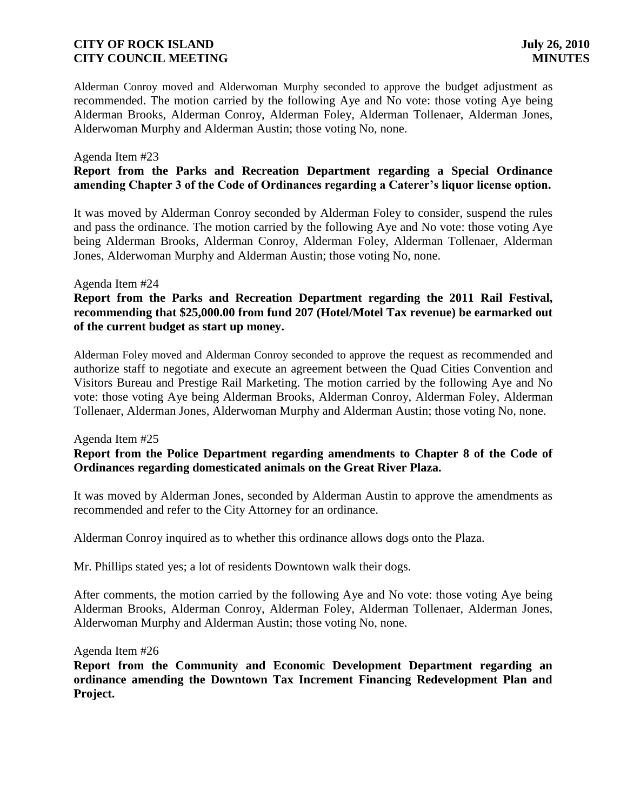Alderman Conroy moved and Alderwoman Murphy seconded to approve the budget adjustment as recommended. The motion carried by the following Aye and No vote: those voting Aye being Alderman Brooks, Alderman Conroy, Alderman Foley, Alderman Tollenaer, Alderman Jones, Alderwoman Murphy and Alderman Austin; those voting No, none.

#### Agenda Item #23

# **Report from the Parks and Recreation Department regarding a Special Ordinance amending Chapter 3 of the Code of Ordinances regarding a Caterer's liquor license option.**

It was moved by Alderman Conroy seconded by Alderman Foley to consider, suspend the rules and pass the ordinance. The motion carried by the following Aye and No vote: those voting Aye being Alderman Brooks, Alderman Conroy, Alderman Foley, Alderman Tollenaer, Alderman Jones, Alderwoman Murphy and Alderman Austin; those voting No, none.

#### Agenda Item #24

# **Report from the Parks and Recreation Department regarding the 2011 Rail Festival, recommending that \$25,000.00 from fund 207 (Hotel/Motel Tax revenue) be earmarked out of the current budget as start up money.**

Alderman Foley moved and Alderman Conroy seconded to approve the request as recommended and authorize staff to negotiate and execute an agreement between the Quad Cities Convention and Visitors Bureau and Prestige Rail Marketing. The motion carried by the following Aye and No vote: those voting Aye being Alderman Brooks, Alderman Conroy, Alderman Foley, Alderman Tollenaer, Alderman Jones, Alderwoman Murphy and Alderman Austin; those voting No, none.

#### Agenda Item #25

# **Report from the Police Department regarding amendments to Chapter 8 of the Code of Ordinances regarding domesticated animals on the Great River Plaza.**

It was moved by Alderman Jones, seconded by Alderman Austin to approve the amendments as recommended and refer to the City Attorney for an ordinance.

Alderman Conroy inquired as to whether this ordinance allows dogs onto the Plaza.

Mr. Phillips stated yes; a lot of residents Downtown walk their dogs.

After comments, the motion carried by the following Aye and No vote: those voting Aye being Alderman Brooks, Alderman Conroy, Alderman Foley, Alderman Tollenaer, Alderman Jones, Alderwoman Murphy and Alderman Austin; those voting No, none.

#### Agenda Item #26

**Report from the Community and Economic Development Department regarding an ordinance amending the Downtown Tax Increment Financing Redevelopment Plan and Project.**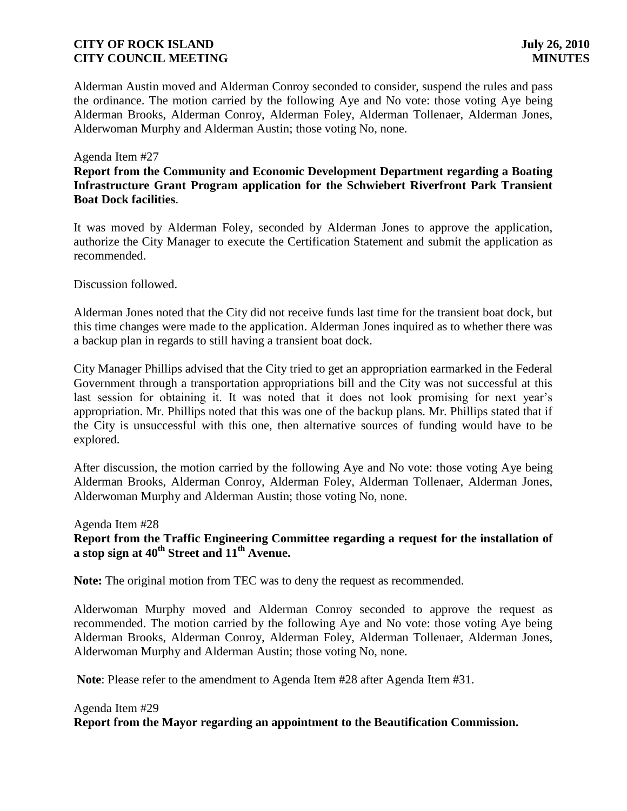Alderman Austin moved and Alderman Conroy seconded to consider, suspend the rules and pass the ordinance. The motion carried by the following Aye and No vote: those voting Aye being Alderman Brooks, Alderman Conroy, Alderman Foley, Alderman Tollenaer, Alderman Jones, Alderwoman Murphy and Alderman Austin; those voting No, none.

#### Agenda Item #27

**Report from the Community and Economic Development Department regarding a Boating Infrastructure Grant Program application for the Schwiebert Riverfront Park Transient Boat Dock facilities**.

It was moved by Alderman Foley, seconded by Alderman Jones to approve the application, authorize the City Manager to execute the Certification Statement and submit the application as recommended.

Discussion followed.

Alderman Jones noted that the City did not receive funds last time for the transient boat dock, but this time changes were made to the application. Alderman Jones inquired as to whether there was a backup plan in regards to still having a transient boat dock.

City Manager Phillips advised that the City tried to get an appropriation earmarked in the Federal Government through a transportation appropriations bill and the City was not successful at this last session for obtaining it. It was noted that it does not look promising for next year's appropriation. Mr. Phillips noted that this was one of the backup plans. Mr. Phillips stated that if the City is unsuccessful with this one, then alternative sources of funding would have to be explored.

After discussion, the motion carried by the following Aye and No vote: those voting Aye being Alderman Brooks, Alderman Conroy, Alderman Foley, Alderman Tollenaer, Alderman Jones, Alderwoman Murphy and Alderman Austin; those voting No, none.

#### Agenda Item #28

**Report from the Traffic Engineering Committee regarding a request for the installation of a stop sign at 40th Street and 11th Avenue.**

**Note:** The original motion from TEC was to deny the request as recommended.

Alderwoman Murphy moved and Alderman Conroy seconded to approve the request as recommended. The motion carried by the following Aye and No vote: those voting Aye being Alderman Brooks, Alderman Conroy, Alderman Foley, Alderman Tollenaer, Alderman Jones, Alderwoman Murphy and Alderman Austin; those voting No, none.

**Note**: Please refer to the amendment to Agenda Item #28 after Agenda Item #31.

# Agenda Item #29 **Report from the Mayor regarding an appointment to the Beautification Commission.**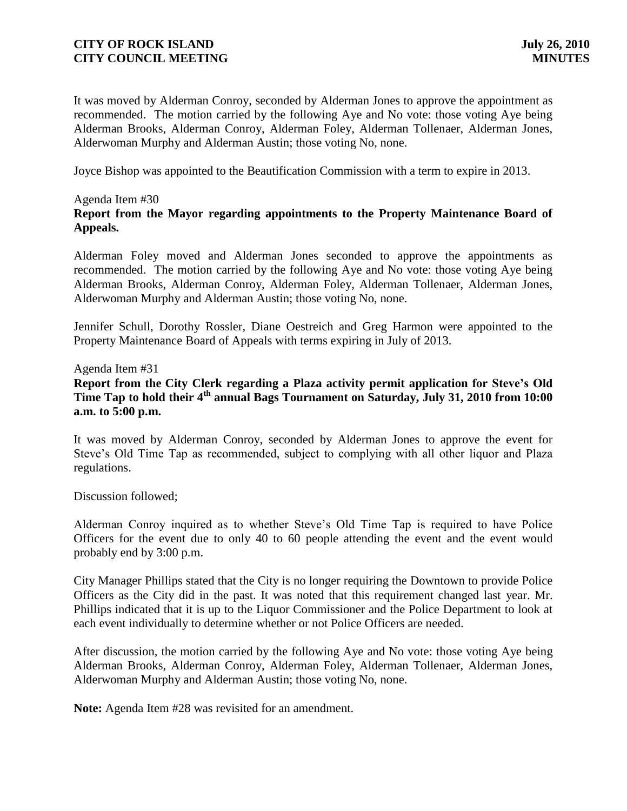It was moved by Alderman Conroy, seconded by Alderman Jones to approve the appointment as recommended. The motion carried by the following Aye and No vote: those voting Aye being Alderman Brooks, Alderman Conroy, Alderman Foley, Alderman Tollenaer, Alderman Jones, Alderwoman Murphy and Alderman Austin; those voting No, none.

Joyce Bishop was appointed to the Beautification Commission with a term to expire in 2013.

#### Agenda Item #30

# **Report from the Mayor regarding appointments to the Property Maintenance Board of Appeals.**

Alderman Foley moved and Alderman Jones seconded to approve the appointments as recommended. The motion carried by the following Aye and No vote: those voting Aye being Alderman Brooks, Alderman Conroy, Alderman Foley, Alderman Tollenaer, Alderman Jones, Alderwoman Murphy and Alderman Austin; those voting No, none.

Jennifer Schull, Dorothy Rossler, Diane Oestreich and Greg Harmon were appointed to the Property Maintenance Board of Appeals with terms expiring in July of 2013.

#### Agenda Item #31

# **Report from the City Clerk regarding a Plaza activity permit application for Steve's Old Time Tap to hold their 4th annual Bags Tournament on Saturday, July 31, 2010 from 10:00 a.m. to 5:00 p.m.**

It was moved by Alderman Conroy, seconded by Alderman Jones to approve the event for Steve's Old Time Tap as recommended, subject to complying with all other liquor and Plaza regulations.

Discussion followed;

Alderman Conroy inquired as to whether Steve's Old Time Tap is required to have Police Officers for the event due to only 40 to 60 people attending the event and the event would probably end by 3:00 p.m.

City Manager Phillips stated that the City is no longer requiring the Downtown to provide Police Officers as the City did in the past. It was noted that this requirement changed last year. Mr. Phillips indicated that it is up to the Liquor Commissioner and the Police Department to look at each event individually to determine whether or not Police Officers are needed.

After discussion, the motion carried by the following Aye and No vote: those voting Aye being Alderman Brooks, Alderman Conroy, Alderman Foley, Alderman Tollenaer, Alderman Jones, Alderwoman Murphy and Alderman Austin; those voting No, none.

**Note:** Agenda Item #28 was revisited for an amendment.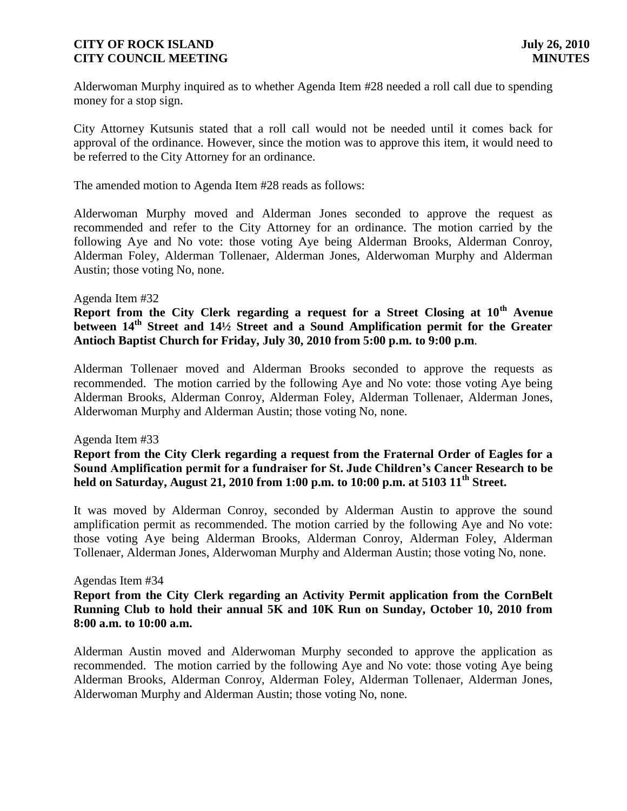Alderwoman Murphy inquired as to whether Agenda Item #28 needed a roll call due to spending money for a stop sign.

City Attorney Kutsunis stated that a roll call would not be needed until it comes back for approval of the ordinance. However, since the motion was to approve this item, it would need to be referred to the City Attorney for an ordinance.

The amended motion to Agenda Item #28 reads as follows:

Alderwoman Murphy moved and Alderman Jones seconded to approve the request as recommended and refer to the City Attorney for an ordinance. The motion carried by the following Aye and No vote: those voting Aye being Alderman Brooks, Alderman Conroy, Alderman Foley, Alderman Tollenaer, Alderman Jones, Alderwoman Murphy and Alderman Austin; those voting No, none.

#### Agenda Item #32

**Report from the City Clerk regarding a request for a Street Closing at 10th Avenue between 14th Street and 14½ Street and a Sound Amplification permit for the Greater Antioch Baptist Church for Friday, July 30, 2010 from 5:00 p.m. to 9:00 p.m**.

Alderman Tollenaer moved and Alderman Brooks seconded to approve the requests as recommended. The motion carried by the following Aye and No vote: those voting Aye being Alderman Brooks, Alderman Conroy, Alderman Foley, Alderman Tollenaer, Alderman Jones, Alderwoman Murphy and Alderman Austin; those voting No, none.

#### Agenda Item #33

**Report from the City Clerk regarding a request from the Fraternal Order of Eagles for a Sound Amplification permit for a fundraiser for St. Jude Children's Cancer Research to be held on Saturday, August 21, 2010 from 1:00 p.m. to 10:00 p.m. at 5103 11th Street.**

It was moved by Alderman Conroy, seconded by Alderman Austin to approve the sound amplification permit as recommended. The motion carried by the following Aye and No vote: those voting Aye being Alderman Brooks, Alderman Conroy, Alderman Foley, Alderman Tollenaer, Alderman Jones, Alderwoman Murphy and Alderman Austin; those voting No, none.

#### Agendas Item #34

### **Report from the City Clerk regarding an Activity Permit application from the CornBelt Running Club to hold their annual 5K and 10K Run on Sunday, October 10, 2010 from 8:00 a.m. to 10:00 a.m.**

Alderman Austin moved and Alderwoman Murphy seconded to approve the application as recommended. The motion carried by the following Aye and No vote: those voting Aye being Alderman Brooks, Alderman Conroy, Alderman Foley, Alderman Tollenaer, Alderman Jones, Alderwoman Murphy and Alderman Austin; those voting No, none.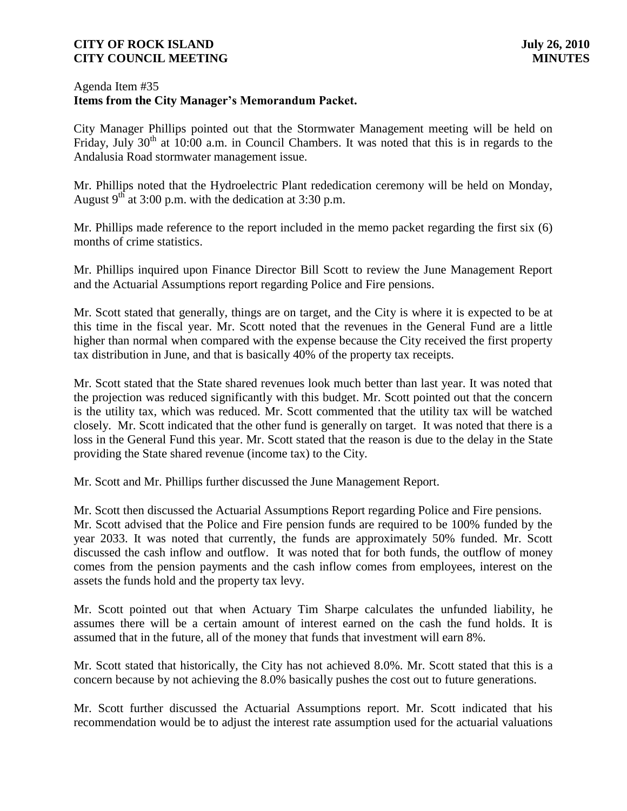### Agenda Item #35 **Items from the City Manager's Memorandum Packet.**

City Manager Phillips pointed out that the Stormwater Management meeting will be held on Friday, July  $30<sup>th</sup>$  at 10:00 a.m. in Council Chambers. It was noted that this is in regards to the Andalusia Road stormwater management issue.

Mr. Phillips noted that the Hydroelectric Plant rededication ceremony will be held on Monday, August  $9^{th}$  at 3:00 p.m. with the dedication at 3:30 p.m.

Mr. Phillips made reference to the report included in the memo packet regarding the first six (6) months of crime statistics.

Mr. Phillips inquired upon Finance Director Bill Scott to review the June Management Report and the Actuarial Assumptions report regarding Police and Fire pensions.

Mr. Scott stated that generally, things are on target, and the City is where it is expected to be at this time in the fiscal year. Mr. Scott noted that the revenues in the General Fund are a little higher than normal when compared with the expense because the City received the first property tax distribution in June, and that is basically 40% of the property tax receipts.

Mr. Scott stated that the State shared revenues look much better than last year. It was noted that the projection was reduced significantly with this budget. Mr. Scott pointed out that the concern is the utility tax, which was reduced. Mr. Scott commented that the utility tax will be watched closely. Mr. Scott indicated that the other fund is generally on target. It was noted that there is a loss in the General Fund this year. Mr. Scott stated that the reason is due to the delay in the State providing the State shared revenue (income tax) to the City.

Mr. Scott and Mr. Phillips further discussed the June Management Report.

Mr. Scott then discussed the Actuarial Assumptions Report regarding Police and Fire pensions. Mr. Scott advised that the Police and Fire pension funds are required to be 100% funded by the year 2033. It was noted that currently, the funds are approximately 50% funded. Mr. Scott discussed the cash inflow and outflow. It was noted that for both funds, the outflow of money comes from the pension payments and the cash inflow comes from employees, interest on the assets the funds hold and the property tax levy.

Mr. Scott pointed out that when Actuary Tim Sharpe calculates the unfunded liability, he assumes there will be a certain amount of interest earned on the cash the fund holds. It is assumed that in the future, all of the money that funds that investment will earn 8%.

Mr. Scott stated that historically, the City has not achieved 8.0%. Mr. Scott stated that this is a concern because by not achieving the 8.0% basically pushes the cost out to future generations.

Mr. Scott further discussed the Actuarial Assumptions report. Mr. Scott indicated that his recommendation would be to adjust the interest rate assumption used for the actuarial valuations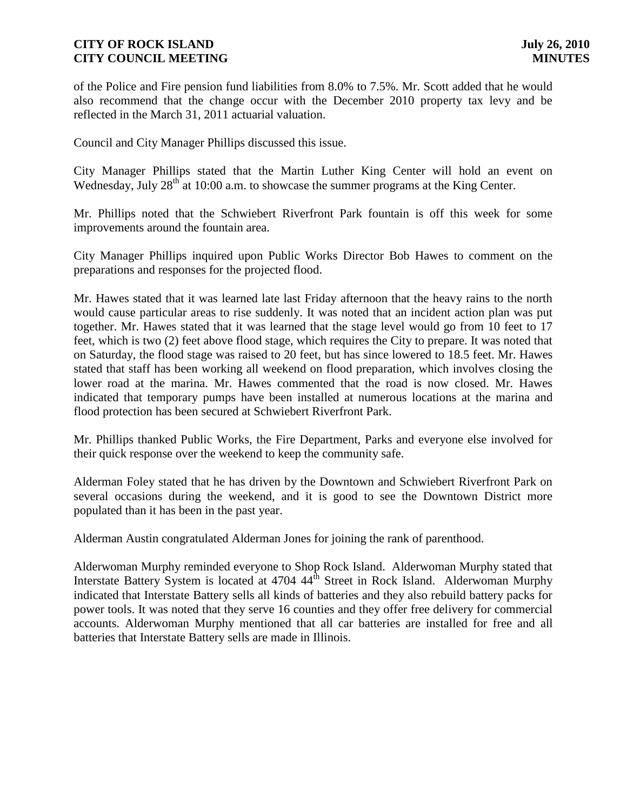of the Police and Fire pension fund liabilities from 8.0% to 7.5%. Mr. Scott added that he would also recommend that the change occur with the December 2010 property tax levy and be reflected in the March 31, 2011 actuarial valuation.

Council and City Manager Phillips discussed this issue.

City Manager Phillips stated that the Martin Luther King Center will hold an event on Wednesday, July 28<sup>th</sup> at 10:00 a.m. to showcase the summer programs at the King Center.

Mr. Phillips noted that the Schwiebert Riverfront Park fountain is off this week for some improvements around the fountain area.

City Manager Phillips inquired upon Public Works Director Bob Hawes to comment on the preparations and responses for the projected flood.

Mr. Hawes stated that it was learned late last Friday afternoon that the heavy rains to the north would cause particular areas to rise suddenly. It was noted that an incident action plan was put together. Mr. Hawes stated that it was learned that the stage level would go from 10 feet to 17 feet, which is two (2) feet above flood stage, which requires the City to prepare. It was noted that on Saturday, the flood stage was raised to 20 feet, but has since lowered to 18.5 feet. Mr. Hawes stated that staff has been working all weekend on flood preparation, which involves closing the lower road at the marina. Mr. Hawes commented that the road is now closed. Mr. Hawes indicated that temporary pumps have been installed at numerous locations at the marina and flood protection has been secured at Schwiebert Riverfront Park.

Mr. Phillips thanked Public Works, the Fire Department, Parks and everyone else involved for their quick response over the weekend to keep the community safe.

Alderman Foley stated that he has driven by the Downtown and Schwiebert Riverfront Park on several occasions during the weekend, and it is good to see the Downtown District more populated than it has been in the past year.

Alderman Austin congratulated Alderman Jones for joining the rank of parenthood.

Alderwoman Murphy reminded everyone to Shop Rock Island. Alderwoman Murphy stated that Interstate Battery System is located at 4704 44<sup>th</sup> Street in Rock Island. Alderwoman Murphy indicated that Interstate Battery sells all kinds of batteries and they also rebuild battery packs for power tools. It was noted that they serve 16 counties and they offer free delivery for commercial accounts. Alderwoman Murphy mentioned that all car batteries are installed for free and all batteries that Interstate Battery sells are made in Illinois.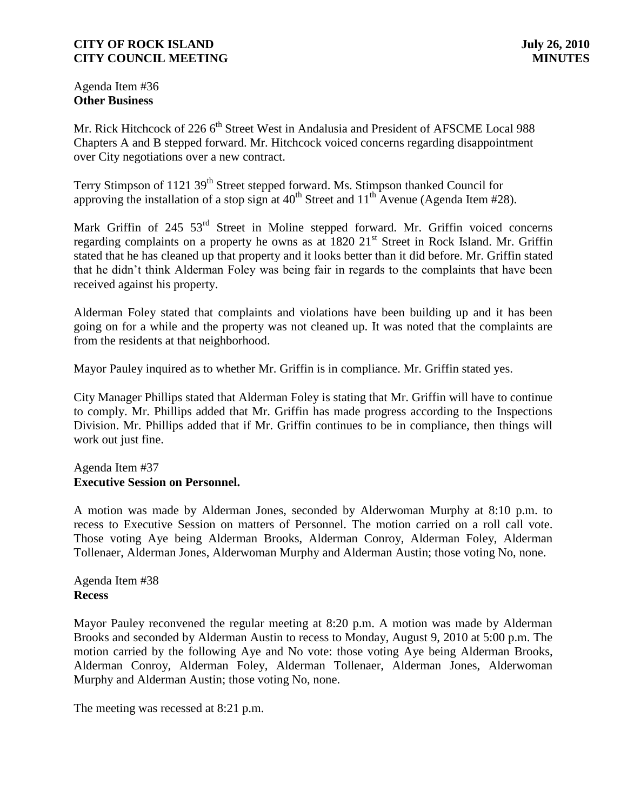Agenda Item #36 **Other Business**

Mr. Rick Hitchcock of 226 6<sup>th</sup> Street West in Andalusia and President of AFSCME Local 988 Chapters A and B stepped forward. Mr. Hitchcock voiced concerns regarding disappointment over City negotiations over a new contract.

Terry Stimpson of 1121 39<sup>th</sup> Street stepped forward. Ms. Stimpson thanked Council for approving the installation of a stop sign at  $40^{th}$  Street and  $11^{th}$  Avenue (Agenda Item #28).

Mark Griffin of 245 53<sup>rd</sup> Street in Moline stepped forward. Mr. Griffin voiced concerns regarding complaints on a property he owns as at  $1820 \ 21<sup>st</sup>$  Street in Rock Island. Mr. Griffin stated that he has cleaned up that property and it looks better than it did before. Mr. Griffin stated that he didn't think Alderman Foley was being fair in regards to the complaints that have been received against his property.

Alderman Foley stated that complaints and violations have been building up and it has been going on for a while and the property was not cleaned up. It was noted that the complaints are from the residents at that neighborhood.

Mayor Pauley inquired as to whether Mr. Griffin is in compliance. Mr. Griffin stated yes.

City Manager Phillips stated that Alderman Foley is stating that Mr. Griffin will have to continue to comply. Mr. Phillips added that Mr. Griffin has made progress according to the Inspections Division. Mr. Phillips added that if Mr. Griffin continues to be in compliance, then things will work out just fine.

# Agenda Item #37 **Executive Session on Personnel.**

A motion was made by Alderman Jones, seconded by Alderwoman Murphy at 8:10 p.m. to recess to Executive Session on matters of Personnel. The motion carried on a roll call vote. Those voting Aye being Alderman Brooks, Alderman Conroy, Alderman Foley, Alderman Tollenaer, Alderman Jones, Alderwoman Murphy and Alderman Austin; those voting No, none.

Agenda Item #38 **Recess**

Mayor Pauley reconvened the regular meeting at 8:20 p.m. A motion was made by Alderman Brooks and seconded by Alderman Austin to recess to Monday, August 9, 2010 at 5:00 p.m. The motion carried by the following Aye and No vote: those voting Aye being Alderman Brooks, Alderman Conroy, Alderman Foley, Alderman Tollenaer, Alderman Jones, Alderwoman Murphy and Alderman Austin; those voting No, none.

The meeting was recessed at 8:21 p.m.